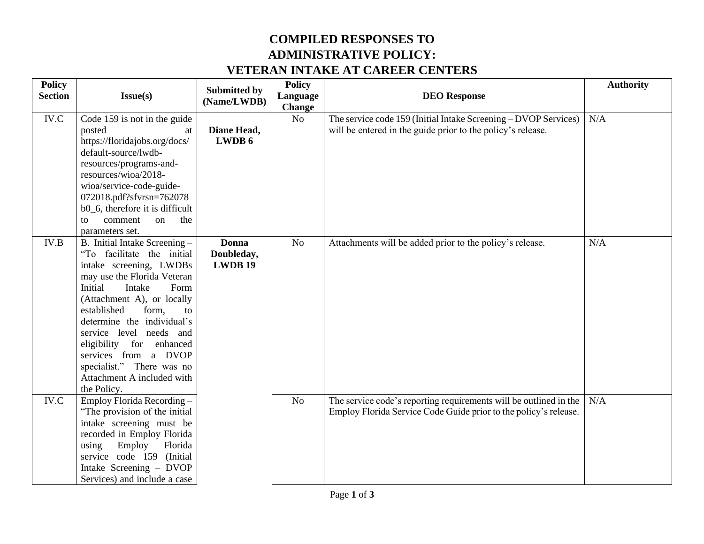## **COMPILED RESPONSES TO ADMINISTRATIVE POLICY: VETERAN INTAKE AT CAREER CENTERS**

| <b>Policy</b><br><b>Section</b> | Issue(s)                                                                                                                                                                                                                                                                                                                                                                                              | <b>Submitted by</b><br>(Name/LWDB)           | <b>Policy</b><br>Language<br><b>Change</b> | <b>DEO</b> Response                                                                                                                   | <b>Authority</b> |
|---------------------------------|-------------------------------------------------------------------------------------------------------------------------------------------------------------------------------------------------------------------------------------------------------------------------------------------------------------------------------------------------------------------------------------------------------|----------------------------------------------|--------------------------------------------|---------------------------------------------------------------------------------------------------------------------------------------|------------------|
| $\rm IV.C$                      | Code 159 is not in the guide<br>posted<br>at<br>https://floridajobs.org/docs/<br>default-source/lwdb-<br>resources/programs-and-<br>resources/wioa/2018-<br>wioa/service-code-guide-<br>072018.pdf?sfvrsn=762078<br>b0_6, therefore it is difficult<br>the<br>comment<br>$\alpha$<br>to<br>parameters set.                                                                                            | Diane Head,<br>LWDB 6                        | No                                         | The service code 159 (Initial Intake Screening - DVOP Services)<br>will be entered in the guide prior to the policy's release.        | N/A              |
| IV.B                            | B. Initial Intake Screening -<br>"To facilitate the initial<br>intake screening, LWDBs<br>may use the Florida Veteran<br>Initial<br>Intake<br>Form<br>(Attachment A), or locally<br>established<br>form,<br>to<br>determine the individual's<br>service level needs and<br>eligibility for enhanced<br>services from a DVOP<br>specialist." There was no<br>Attachment A included with<br>the Policy. | <b>Donna</b><br>Doubleday,<br><b>LWDB 19</b> | N <sub>o</sub>                             | Attachments will be added prior to the policy's release.                                                                              | N/A              |
| IV.C                            | Employ Florida Recording -<br>"The provision of the initial<br>intake screening must be<br>recorded in Employ Florida<br>using<br>Employ<br>Florida<br>service code 159 (Initial<br>Intake Screening - DVOP<br>Services) and include a case                                                                                                                                                           |                                              | N <sub>o</sub>                             | The service code's reporting requirements will be outlined in the<br>Employ Florida Service Code Guide prior to the policy's release. | N/A              |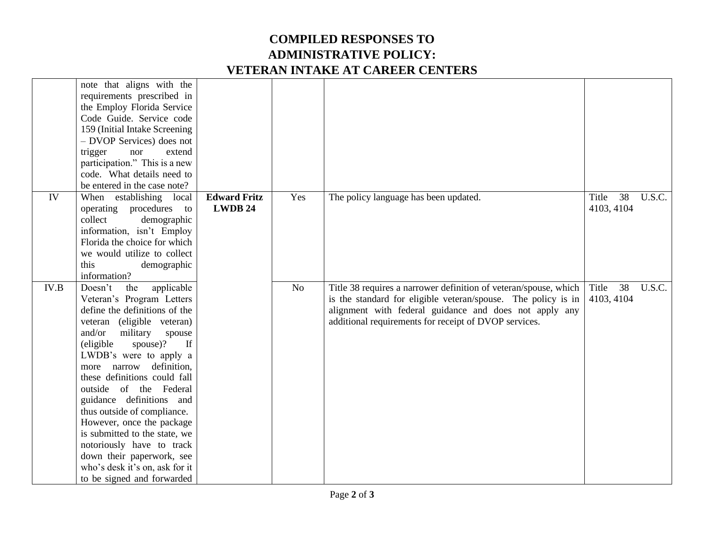## **COMPILED RESPONSES TO ADMINISTRATIVE POLICY: VETERAN INTAKE AT CAREER CENTERS**

|      | note that aligns with the<br>requirements prescribed in<br>the Employ Florida Service<br>Code Guide. Service code<br>159 (Initial Intake Screening)<br>- DVOP Services) does not<br>trigger<br>nor<br>extend<br>participation." This is a new<br>code. What details need to<br>be entered in the case note?                                                                                                                                                                                                                                                          |                                |     |                                                                                                                                                                                                                                                      |                           |        |
|------|----------------------------------------------------------------------------------------------------------------------------------------------------------------------------------------------------------------------------------------------------------------------------------------------------------------------------------------------------------------------------------------------------------------------------------------------------------------------------------------------------------------------------------------------------------------------|--------------------------------|-----|------------------------------------------------------------------------------------------------------------------------------------------------------------------------------------------------------------------------------------------------------|---------------------------|--------|
| IV   | When establishing local<br>operating procedures to<br>collect<br>demographic<br>information, isn't Employ<br>Florida the choice for which<br>we would utilize to collect<br>this<br>demographic<br>information?                                                                                                                                                                                                                                                                                                                                                      | <b>Edward Fritz</b><br>LWDB 24 | Yes | The policy language has been updated.                                                                                                                                                                                                                | 38<br>Title<br>4103, 4104 | U.S.C. |
| IV.B | applicable<br>Doesn't<br>the<br>Veteran's Program Letters<br>define the definitions of the<br>veteran (eligible veteran)<br>and/or<br>military<br>spouse<br>(eligible)<br>spouse)?<br>$\mathbf{H}$<br>LWDB's were to apply a<br>more narrow definition,<br>these definitions could fall<br>outside of the Federal<br>guidance definitions and<br>thus outside of compliance.<br>However, once the package<br>is submitted to the state, we<br>notoriously have to track<br>down their paperwork, see<br>who's desk it's on, ask for it<br>to be signed and forwarded |                                | No  | Title 38 requires a narrower definition of veteran/spouse, which<br>is the standard for eligible veteran/spouse. The policy is in<br>alignment with federal guidance and does not apply any<br>additional requirements for receipt of DVOP services. | 38<br>Title<br>4103, 4104 | U.S.C. |